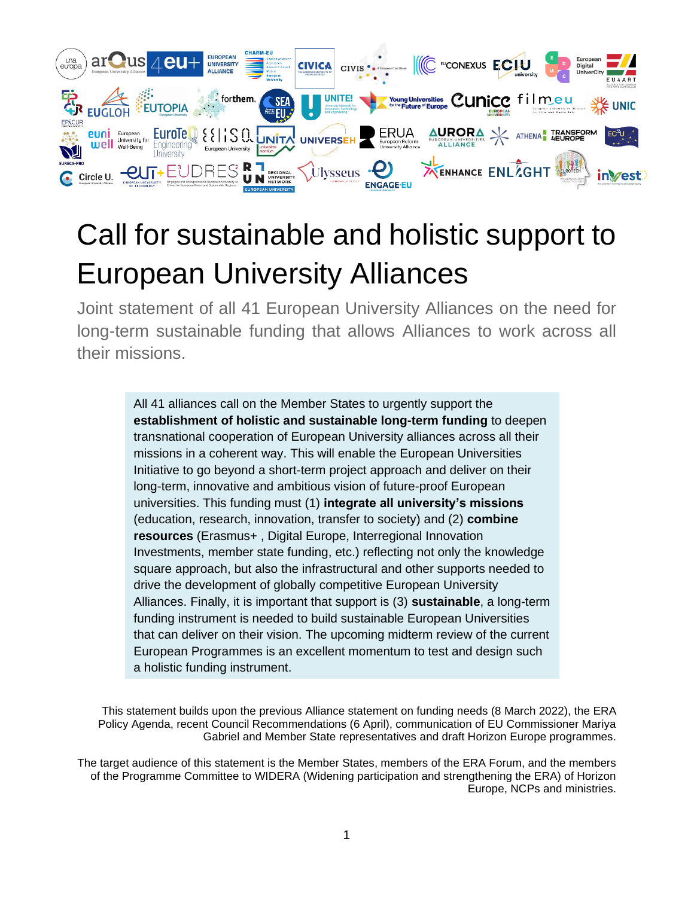

# Call for sustainable and holistic support to European University Alliances

Joint statement of all 41 European University Alliances on the need for long-term sustainable funding that allows Alliances to work across all their missions.

> All 41 alliances call on the Member States to urgently support the **establishment of holistic and sustainable long-term funding** to deepen transnational cooperation of European University alliances across all their missions in a coherent way. This will enable the European Universities Initiative to go beyond a short-term project approach and deliver on their long-term, innovative and ambitious vision of future-proof European universities. This funding must (1) **integrate all university's missions** (education, research, innovation, transfer to society) and (2) **combine resources** (Erasmus+ , Digital Europe, Interregional Innovation Investments, member state funding, etc.) reflecting not only the knowledge square approach, but also the infrastructural and other supports needed to drive the development of globally competitive European University Alliances. Finally, it is important that support is (3) **sustainable**, a long-term funding instrument is needed to build sustainable European Universities that can deliver on their vision. The upcoming midterm review of the current European Programmes is an excellent momentum to test and design such a holistic funding instrument.

This statement builds upon the previous Alliance statement on funding needs (8 March 2022), the ERA Policy Agenda, recent Council Recommendations (6 April), communication of EU Commissioner Mariya Gabriel and Member State representatives and draft Horizon Europe programmes.

The target audience of this statement is the Member States, members of the ERA Forum, and the members of the Programme Committee to WIDERA (Widening participation and strengthening the ERA) of Horizon Europe, NCPs and ministries.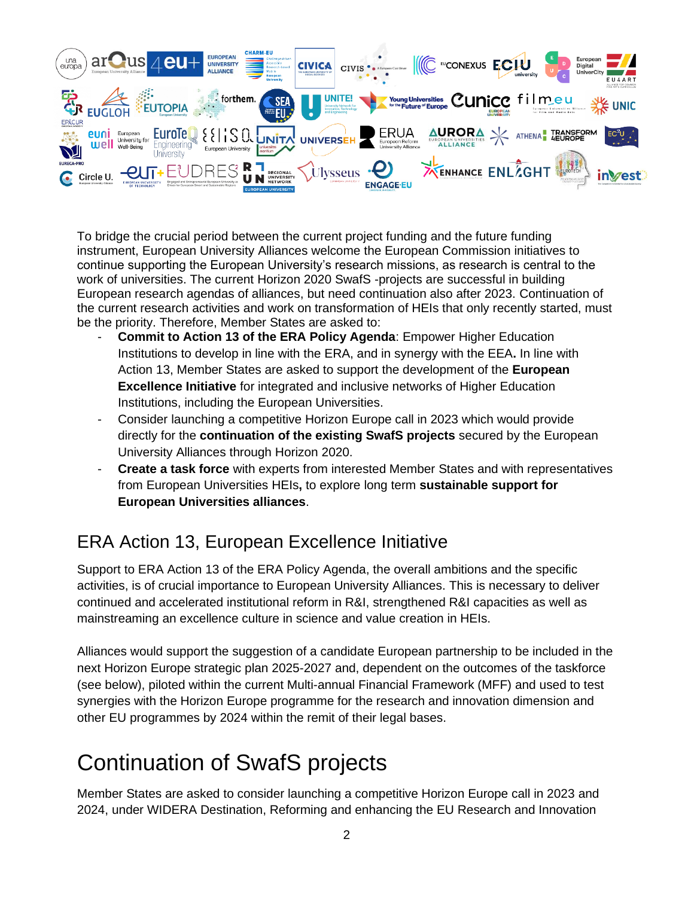

To bridge the crucial period between the current project funding and the future funding instrument, European University Alliances welcome the European Commission initiatives to continue supporting the European University's research missions, as research is central to the work of universities. The current Horizon 2020 SwafS -projects are successful in building European research agendas of alliances, but need continuation also after 2023. Continuation of the current research activities and work on transformation of HEIs that only recently started, must be the priority. Therefore, Member States are asked to:

- **Commit to Action 13 of the ERA Policy Agenda**: Empower Higher Education Institutions to develop in line with the ERA, and in synergy with the EEA**.** In line with Action 13, Member States are asked to support the development of the **European Excellence Initiative** for integrated and inclusive networks of Higher Education Institutions, including the European Universities.
- Consider launching a competitive Horizon Europe call in 2023 which would provide directly for the **continuation of the existing SwafS projects** secured by the European University Alliances through Horizon 2020.
- **Create a task force** with experts from interested Member States and with representatives from European Universities HEIs**,** to explore long term **sustainable support for European Universities alliances**.

### ERA Action 13, European Excellence Initiative

Support to ERA Action 13 of the ERA Policy Agenda, the overall ambitions and the specific activities, is of crucial importance to European University Alliances. This is necessary to deliver continued and accelerated institutional reform in R&I, strengthened R&I capacities as well as mainstreaming an excellence culture in science and value creation in HEIs.

Alliances would support the suggestion of a candidate European partnership to be included in the next Horizon Europe strategic plan 2025-2027 and, dependent on the outcomes of the taskforce (see below), piloted within the current Multi-annual Financial Framework (MFF) and used to test synergies with the Horizon Europe programme for the research and innovation dimension and other EU programmes by 2024 within the remit of their legal bases.

## Continuation of SwafS projects

Member States are asked to consider launching a competitive Horizon Europe call in 2023 and 2024, under WIDERA Destination, Reforming and enhancing the EU Research and Innovation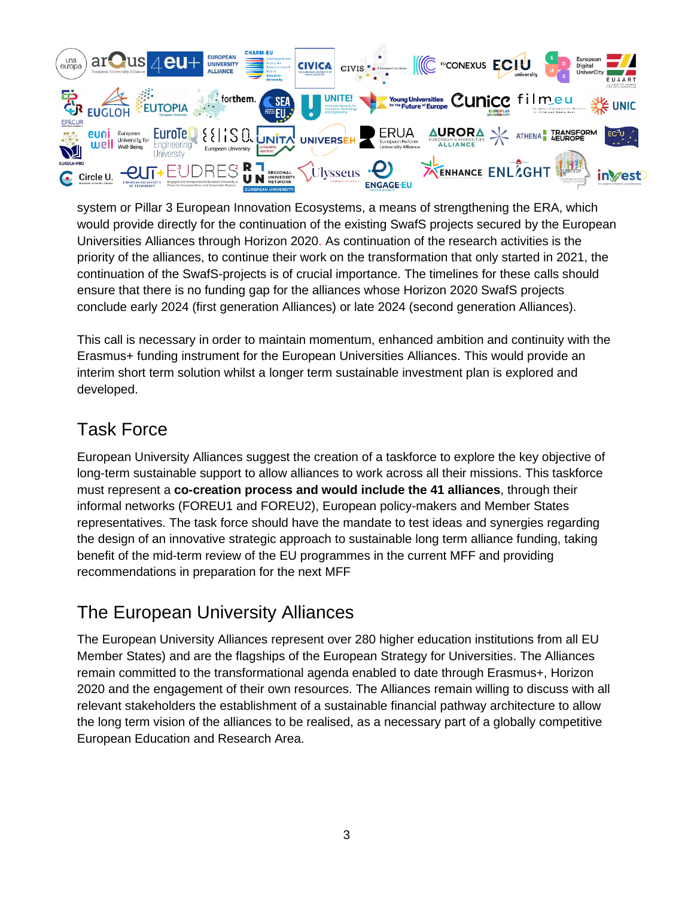

system or Pillar 3 European Innovation Ecosystems, a means of strengthening the ERA, which would provide directly for the continuation of the existing SwafS projects secured by the European Universities Alliances through Horizon 2020. As continuation of the research activities is the priority of the alliances, to continue their work on the transformation that only started in 2021, the continuation of the SwafS-projects is of crucial importance. The timelines for these calls should ensure that there is no funding gap for the alliances whose Horizon 2020 SwafS projects conclude early 2024 (first generation Alliances) or late 2024 (second generation Alliances).

This call is necessary in order to maintain momentum, enhanced ambition and continuity with the Erasmus+ funding instrument for the European Universities Alliances. This would provide an interim short term solution whilst a longer term sustainable investment plan is explored and developed.

#### Task Force

European University Alliances suggest the creation of a taskforce to explore the key objective of long-term sustainable support to allow alliances to work across all their missions. This taskforce must represent a **co-creation process and would include the 41 alliances**, through their informal networks (FOREU1 and FOREU2), European policy-makers and Member States representatives. The task force should have the mandate to test ideas and synergies regarding the design of an innovative strategic approach to sustainable long term alliance funding, taking benefit of the mid-term review of the EU programmes in the current MFF and providing recommendations in preparation for the next MFF

### The European University Alliances

The European University Alliances represent over 280 higher education institutions from all EU Member States) and are the flagships of the European Strategy for Universities. The Alliances remain committed to the transformational agenda enabled to date through Erasmus+, Horizon 2020 and the engagement of their own resources. The Alliances remain willing to discuss with all relevant stakeholders the establishment of a sustainable financial pathway architecture to allow the long term vision of the alliances to be realised, as a necessary part of a globally competitive European Education and Research Area.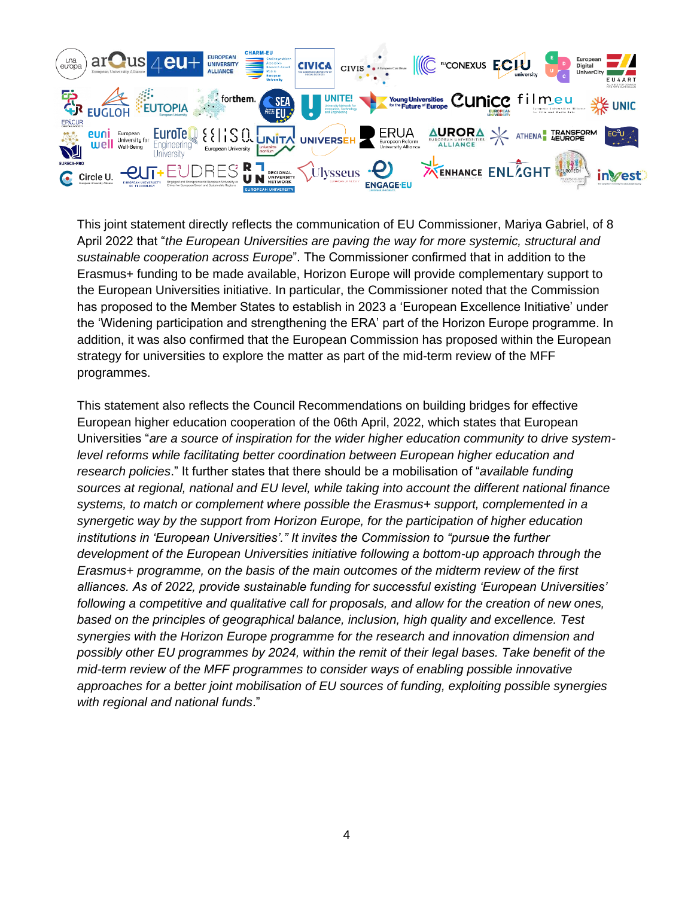

This joint statement directly reflects the communication of EU Commissioner, Mariya Gabriel, of 8 April 2022 that "*the European Universities are paving the way for more systemic, structural and sustainable cooperation across Europe*". The Commissioner confirmed that in addition to the Erasmus+ funding to be made available, Horizon Europe will provide complementary support to the European Universities initiative. In particular, the Commissioner noted that the Commission has proposed to the Member States to establish in 2023 a 'European Excellence Initiative' under the 'Widening participation and strengthening the ERA' part of the Horizon Europe programme. In addition, it was also confirmed that the European Commission has proposed within the European strategy for universities to explore the matter as part of the mid-term review of the MFF programmes.

This statement also reflects the Council Recommendations on building bridges for effective European higher education cooperation of the 06th April, 2022, which states that European Universities "*are a source of inspiration for the wider higher education community to drive systemlevel reforms while facilitating better coordination between European higher education and research policies*." It further states that there should be a mobilisation of "*available funding sources at regional, national and EU level, while taking into account the different national finance systems, to match or complement where possible the Erasmus+ support, complemented in a synergetic way by the support from Horizon Europe, for the participation of higher education institutions in 'European Universities'." It invites the Commission to "pursue the further development of the European Universities initiative following a bottom-up approach through the Erasmus+ programme, on the basis of the main outcomes of the midterm review of the first alliances. As of 2022, provide sustainable funding for successful existing 'European Universities' following a competitive and qualitative call for proposals, and allow for the creation of new ones, based on the principles of geographical balance, inclusion, high quality and excellence. Test synergies with the Horizon Europe programme for the research and innovation dimension and possibly other EU programmes by 2024, within the remit of their legal bases. Take benefit of the mid-term review of the MFF programmes to consider ways of enabling possible innovative approaches for a better joint mobilisation of EU sources of funding, exploiting possible synergies with regional and national funds*."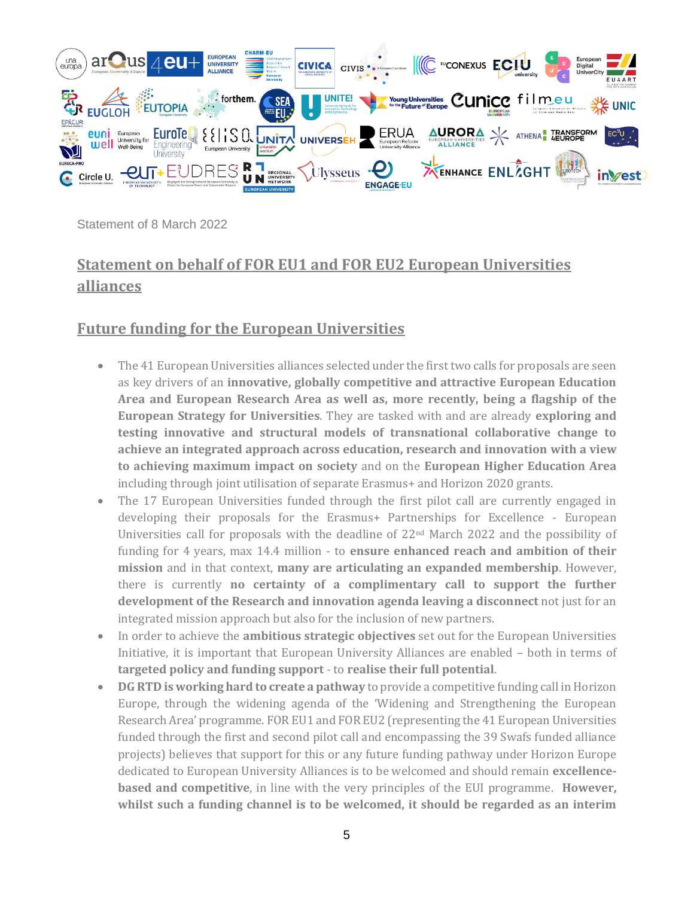

Statement of 8 March 2022

#### **Statement on behalf of FOR EU1 and FOR EU2 European Universities alliances**

#### **Future funding for the European Universities**

- The 41 European Universities alliances selected under the first two calls for proposals are seen as key drivers of an **innovative, globally competitive and attractive European Education Area and European Research Area as well as, more recently, being a flagship of the European Strategy for Universities**. They are tasked with and are already **exploring and testing innovative and structural models of transnational collaborative change to achieve an integrated approach across education, research and innovation with a view to achieving maximum impact on society** and on the **European Higher Education Area**  including through joint utilisation of separate Erasmus+ and Horizon 2020 grants.
- The 17 European Universities funded through the first pilot call are currently engaged in developing their proposals for the Erasmus+ Partnerships for Excellence - European Universities call for proposals with the deadline of  $22<sup>nd</sup>$  March 2022 and the possibility of funding for 4 years, max 14.4 million - to **ensure enhanced reach and ambition of their mission** and in that context, **many are articulating an expanded membership**. However, there is currently **no certainty of a complimentary call to support the further development of the Research and innovation agenda leaving a disconnect** not just for an integrated mission approach but also for the inclusion of new partners.
- In order to achieve the **ambitious strategic objectives** set out for the European Universities Initiative, it is important that European University Alliances are enabled – both in terms of **targeted policy and funding support** - to **realise their full potential**.
- **DG RTD is working hard to create a pathway** to provide a competitive funding call in Horizon Europe, through the widening agenda of the 'Widening and Strengthening the European Research Area' programme. FOR EU1 and FOR EU2 (representing the 41 European Universities funded through the first and second pilot call and encompassing the 39 Swafs funded alliance projects) believes that support for this or any future funding pathway under Horizon Europe dedicated to European University Alliances is to be welcomed and should remain **excellencebased and competitive**, in line with the very principles of the EUI programme. **However, whilst such a funding channel is to be welcomed, it should be regarded as an interim**